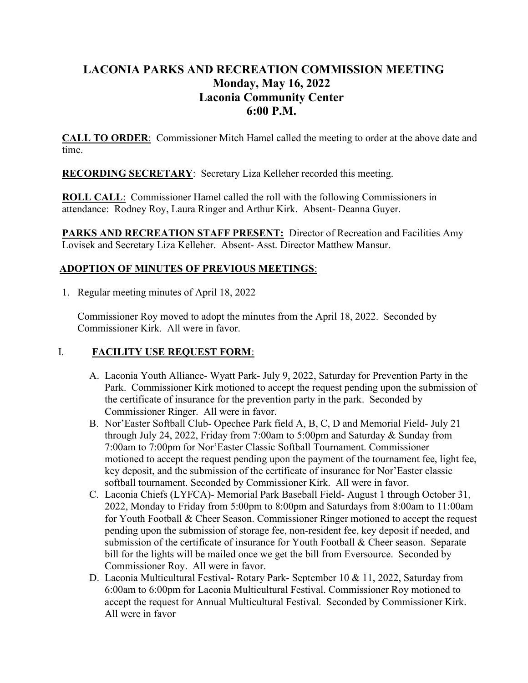# LACONIA PARKS AND RECREATION COMMISSION MEETING Monday, May 16, 2022 Laconia Community Center 6:00 P.M.

CALL TO ORDER: Commissioner Mitch Hamel called the meeting to order at the above date and time.

RECORDING SECRETARY: Secretary Liza Kelleher recorded this meeting.

ROLL CALL: Commissioner Hamel called the roll with the following Commissioners in attendance: Rodney Roy, Laura Ringer and Arthur Kirk. Absent- Deanna Guyer.

PARKS AND RECREATION STAFF PRESENT: Director of Recreation and Facilities Amy Lovisek and Secretary Liza Kelleher. Absent- Asst. Director Matthew Mansur.

# ADOPTION OF MINUTES OF PREVIOUS MEETINGS:

1. Regular meeting minutes of April 18, 2022

Commissioner Roy moved to adopt the minutes from the April 18, 2022. Seconded by Commissioner Kirk. All were in favor.

# I. FACILITY USE REQUEST FORM:

- A. Laconia Youth Alliance- Wyatt Park- July 9, 2022, Saturday for Prevention Party in the Park. Commissioner Kirk motioned to accept the request pending upon the submission of the certificate of insurance for the prevention party in the park. Seconded by Commissioner Ringer. All were in favor.
- B. Nor'Easter Softball Club- Opechee Park field A, B, C, D and Memorial Field- July 21 through July 24, 2022, Friday from 7:00am to 5:00pm and Saturday & Sunday from 7:00am to 7:00pm for Nor'Easter Classic Softball Tournament. Commissioner motioned to accept the request pending upon the payment of the tournament fee, light fee, key deposit, and the submission of the certificate of insurance for Nor'Easter classic softball tournament. Seconded by Commissioner Kirk. All were in favor.
- C. Laconia Chiefs (LYFCA)- Memorial Park Baseball Field- August 1 through October 31, 2022, Monday to Friday from 5:00pm to 8:00pm and Saturdays from 8:00am to 11:00am for Youth Football & Cheer Season. Commissioner Ringer motioned to accept the request pending upon the submission of storage fee, non-resident fee, key deposit if needed, and submission of the certificate of insurance for Youth Football & Cheer season. Separate bill for the lights will be mailed once we get the bill from Eversource. Seconded by Commissioner Roy. All were in favor.
- D. Laconia Multicultural Festival- Rotary Park- September 10 & 11, 2022, Saturday from 6:00am to 6:00pm for Laconia Multicultural Festival. Commissioner Roy motioned to accept the request for Annual Multicultural Festival. Seconded by Commissioner Kirk. All were in favor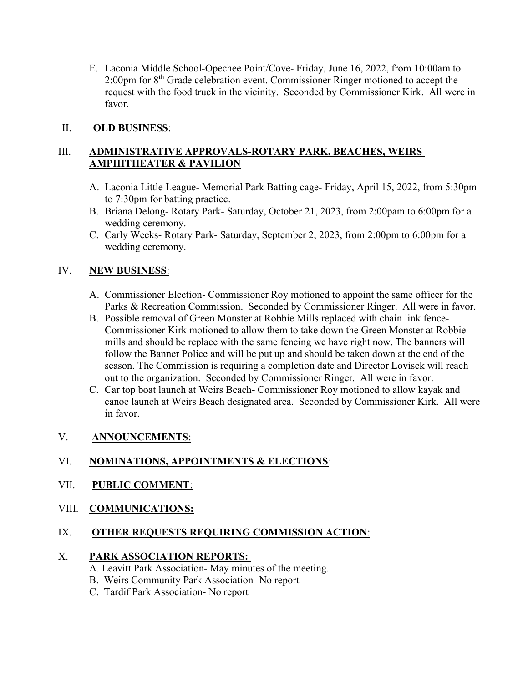E. Laconia Middle School-Opechee Point/Cove- Friday, June 16, 2022, from 10:00am to 2:00pm for 8th Grade celebration event. Commissioner Ringer motioned to accept the request with the food truck in the vicinity. Seconded by Commissioner Kirk. All were in favor.

### II. OLD BUSINESS:

### III. ADMINISTRATIVE APPROVALS-ROTARY PARK, BEACHES, WEIRS AMPHITHEATER & PAVILION

- A. Laconia Little League- Memorial Park Batting cage- Friday, April 15, 2022, from 5:30pm to 7:30pm for batting practice.
- B. Briana Delong- Rotary Park- Saturday, October 21, 2023, from 2:00pam to 6:00pm for a wedding ceremony.
- C. Carly Weeks- Rotary Park- Saturday, September 2, 2023, from 2:00pm to 6:00pm for a wedding ceremony.

### IV. NEW BUSINESS:

- A. Commissioner Election- Commissioner Roy motioned to appoint the same officer for the Parks & Recreation Commission. Seconded by Commissioner Ringer. All were in favor.
- B. Possible removal of Green Monster at Robbie Mills replaced with chain link fence-Commissioner Kirk motioned to allow them to take down the Green Monster at Robbie mills and should be replace with the same fencing we have right now. The banners will follow the Banner Police and will be put up and should be taken down at the end of the season. The Commission is requiring a completion date and Director Lovisek will reach out to the organization. Seconded by Commissioner Ringer. All were in favor.
- C. Car top boat launch at Weirs Beach- Commissioner Roy motioned to allow kayak and canoe launch at Weirs Beach designated area. Seconded by Commissioner Kirk. All were in favor.

### V. ANNOUNCEMENTS:

# VI. NOMINATIONS, APPOINTMENTS & ELECTIONS:

### VII. PUBLIC COMMENT:

### VIII. COMMUNICATIONS:

# IX. OTHER REQUESTS REQUIRING COMMISSION ACTION:

### X. PARK ASSOCIATION REPORTS:

- A. Leavitt Park Association- May minutes of the meeting.
- B. Weirs Community Park Association- No report
- C. Tardif Park Association- No report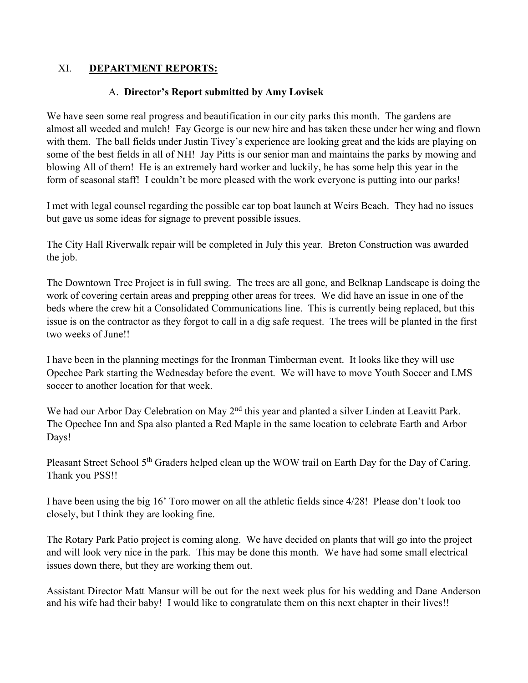### XI. DEPARTMENT REPORTS:

### A. Director's Report submitted by Amy Lovisek

We have seen some real progress and beautification in our city parks this month. The gardens are almost all weeded and mulch! Fay George is our new hire and has taken these under her wing and flown with them. The ball fields under Justin Tivey's experience are looking great and the kids are playing on some of the best fields in all of NH! Jay Pitts is our senior man and maintains the parks by mowing and blowing All of them! He is an extremely hard worker and luckily, he has some help this year in the form of seasonal staff! I couldn't be more pleased with the work everyone is putting into our parks!

I met with legal counsel regarding the possible car top boat launch at Weirs Beach. They had no issues but gave us some ideas for signage to prevent possible issues.

The City Hall Riverwalk repair will be completed in July this year. Breton Construction was awarded the job.

The Downtown Tree Project is in full swing. The trees are all gone, and Belknap Landscape is doing the work of covering certain areas and prepping other areas for trees. We did have an issue in one of the beds where the crew hit a Consolidated Communications line. This is currently being replaced, but this issue is on the contractor as they forgot to call in a dig safe request. The trees will be planted in the first two weeks of June!!

I have been in the planning meetings for the Ironman Timberman event. It looks like they will use Opechee Park starting the Wednesday before the event. We will have to move Youth Soccer and LMS soccer to another location for that week.

We had our Arbor Day Celebration on May 2<sup>nd</sup> this year and planted a silver Linden at Leavitt Park. The Opechee Inn and Spa also planted a Red Maple in the same location to celebrate Earth and Arbor Days!

Pleasant Street School 5<sup>th</sup> Graders helped clean up the WOW trail on Earth Day for the Day of Caring. Thank you PSS!!

I have been using the big 16' Toro mower on all the athletic fields since 4/28! Please don't look too closely, but I think they are looking fine.

The Rotary Park Patio project is coming along. We have decided on plants that will go into the project and will look very nice in the park. This may be done this month. We have had some small electrical issues down there, but they are working them out.

Assistant Director Matt Mansur will be out for the next week plus for his wedding and Dane Anderson and his wife had their baby! I would like to congratulate them on this next chapter in their lives!!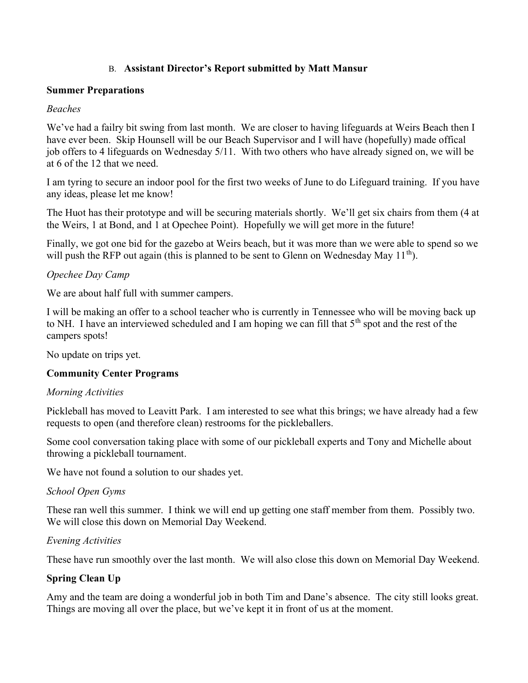### B. Assistant Director's Report submitted by Matt Mansur

#### Summer Preparations

#### Beaches

We've had a failry bit swing from last month. We are closer to having lifeguards at Weirs Beach then I have ever been. Skip Hounsell will be our Beach Supervisor and I will have (hopefully) made offical job offers to 4 lifeguards on Wednesday 5/11. With two others who have already signed on, we will be at 6 of the 12 that we need.

I am tyring to secure an indoor pool for the first two weeks of June to do Lifeguard training. If you have any ideas, please let me know!

The Huot has their prototype and will be securing materials shortly. We'll get six chairs from them (4 at the Weirs, 1 at Bond, and 1 at Opechee Point). Hopefully we will get more in the future!

Finally, we got one bid for the gazebo at Weirs beach, but it was more than we were able to spend so we will push the RFP out again (this is planned to be sent to Glenn on Wednesday May  $11^{th}$ ).

### Opechee Day Camp

We are about half full with summer campers.

I will be making an offer to a school teacher who is currently in Tennessee who will be moving back up to NH. I have an interviewed scheduled and I am hoping we can fill that  $5<sup>th</sup>$  spot and the rest of the campers spots!

No update on trips yet.

### Community Center Programs

#### Morning Activities

Pickleball has moved to Leavitt Park. I am interested to see what this brings; we have already had a few requests to open (and therefore clean) restrooms for the pickleballers.

Some cool conversation taking place with some of our pickleball experts and Tony and Michelle about throwing a pickleball tournament.

We have not found a solution to our shades yet.

### School Open Gyms

These ran well this summer. I think we will end up getting one staff member from them. Possibly two. We will close this down on Memorial Day Weekend.

### Evening Activities

These have run smoothly over the last month. We will also close this down on Memorial Day Weekend.

### Spring Clean Up

Amy and the team are doing a wonderful job in both Tim and Dane's absence. The city still looks great. Things are moving all over the place, but we've kept it in front of us at the moment.